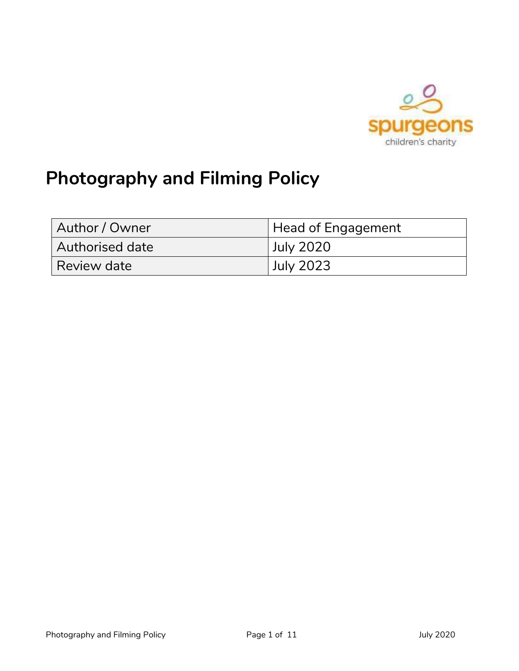

# **Photography and Filming Policy**

| Author / Owner  | Head of Engagement |  |  |
|-----------------|--------------------|--|--|
| Authorised date | <b>July 2020</b>   |  |  |
| Review date     | <b>July 2023</b>   |  |  |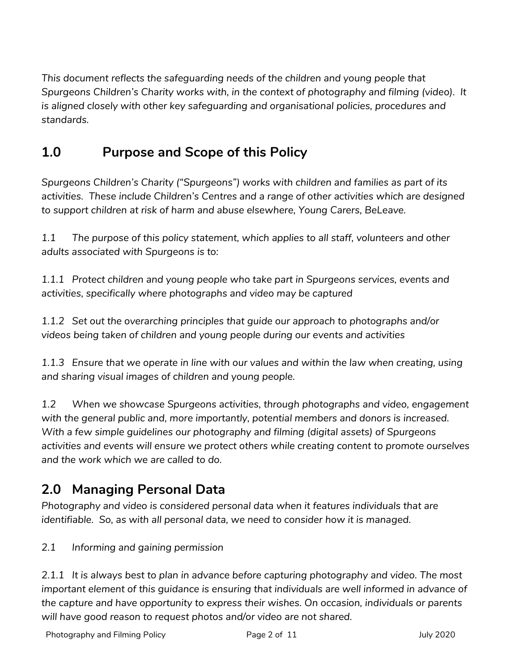*This document reflects the safeguarding needs of the children and young people that Spurgeons Children's Charity works with, in the context of photography and filming (video). It is aligned closely with other key safeguarding and organisational policies, procedures and standards.*

# **1.0 Purpose and Scope of this Policy**

*Spurgeons Children's Charity ("Spurgeons") works with children and families as part of its activities. These include Children's Centres and a range of other activities which are designed to support children at risk of harm and abuse elsewhere, Young Carers, BeLeave.*

*1.1 The purpose of this policy statement, which applies to all staff, volunteers and other adults associated with Spurgeons is to:*

*1.1.1 Protect children and young people who take part in Spurgeons services, events and activities, specifically where photographs and video may be captured*

*1.1.2 Set out the overarching principles that guide our approach to photographs and/or videos being taken of children and young people during our events and activities*

*1.1.3 Ensure that we operate in line with our values and within the law when creating, using and sharing visual images of children and young people.*

*1.2 When we showcase Spurgeons activities, through photographs and video, engagement with the general public and, more importantly, potential members and donors is increased. With a few simple guidelines our photography and filming (digital assets) of Spurgeons activities and events will ensure we protect others while creating content to promote ourselves and the work which we are called to do.*

# **2.0 Managing Personal Data**

*Photography and video is considered personal data when it features individuals that are identifiable. So, as with all personal data, we need to consider how it is managed.* 

### *2.1 Informing and gaining permission*

*2.1.1 It is always best to plan in advance before capturing photography and video. The most important element of this guidance is ensuring that individuals are well informed in advance of the capture and have opportunity to express their wishes. On occasion, individuals or parents will have good reason to request photos and/or video are not shared.*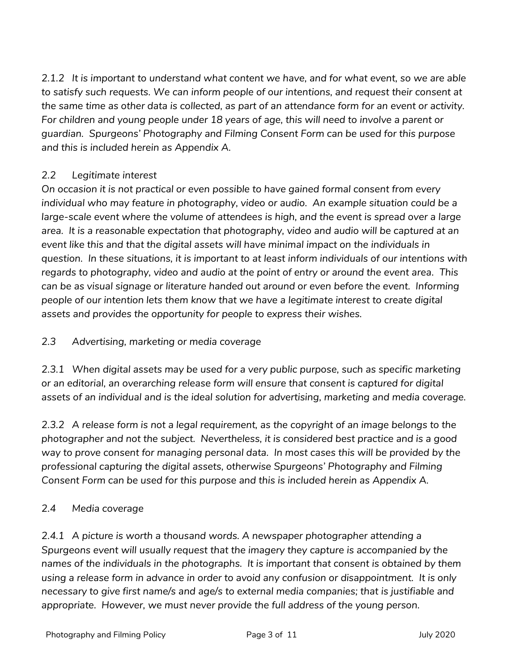*2.1.2 It is important to understand what content we have, and for what event, so we are able to satisfy such requests. We can inform people of our intentions, and request their consent at the same time as other data is collected, as part of an attendance form for an event or activity.*  For children and young people under 18 years of age, this will need to involve a parent or *guardian. Spurgeons' Photography and Filming Consent Form can be used for this purpose and this is included herein as Appendix A.* 

#### *2.2 Legitimate interest*

*On occasion it is not practical or even possible to have gained formal consent from every individual who may feature in photography, video or audio. An example situation could be a*  large-scale event where the volume of attendees is high, and the event is spread over a large *area. It is a reasonable expectation that photography, video and audio will be captured at an event like this and that the digital assets will have minimal impact on the individuals in question. In these situations, it is important to at least inform individuals of our intentions with regards to photography, video and audio at the point of entry or around the event area. This can be as visual signage or literature handed out around or even before the event. Informing people of our intention lets them know that we have a legitimate interest to create digital assets and provides the opportunity for people to express their wishes.* 

#### *2.3 Advertising, marketing or media coverage*

*2.3.1 When digital assets may be used for a very public purpose, such as specific marketing or an editorial, an overarching release form will ensure that consent is captured for digital assets of an individual and is the ideal solution for advertising, marketing and media coverage.* 

*2.3.2 A release form is not a legal requirement, as the copyright of an image belongs to the photographer and not the subject. Nevertheless, it is considered best practice and is a good way to prove consent for managing personal data. In most cases this will be provided by the professional capturing the digital assets, otherwise Spurgeons' Photography and Filming Consent Form can be used for this purpose and this is included herein as Appendix A.* 

#### *2.4 Media coverage*

*2.4.1 A picture is worth a thousand words. A newspaper photographer attending a Spurgeons event will usually request that the imagery they capture is accompanied by the names of the individuals in the photographs. It is important that consent is obtained by them using a release form in advance in order to avoid any confusion or disappointment. It is only necessary to give first name/s and age/s to external media companies; that is justifiable and*  appropriate. However, we must never provide the full address of the young person.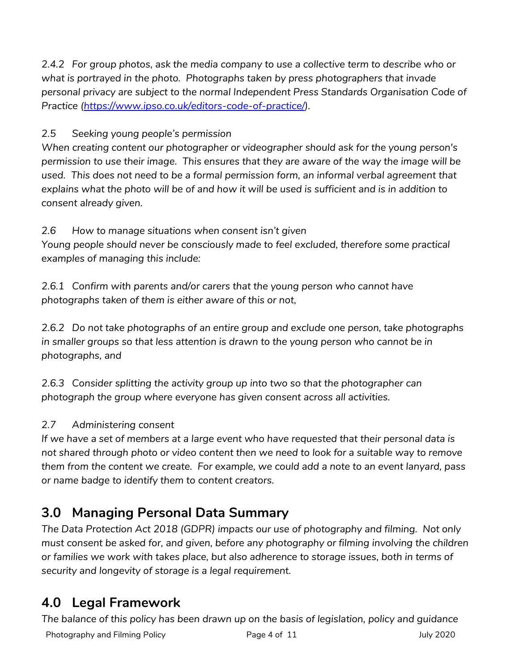*2.4.2 For group photos, ask the media company to use a collective term to describe who or what is portrayed in the photo. Photographs taken by press photographers that invade personal privacy are subject to the normal Independent Press Standards Organisation Code of Practice [\(https://www.ipso.co.uk/editors-code-of-practice/\)](https://www.ipso.co.uk/editors-code-of-practice/).*

*2.5 Seeking young people's permission*

*When creating content our photographer or videographer should ask for the young person's permission to use their image. This ensures that they are aware of the way the image will be*  used. This does not need to be a formal permission form, an informal verbal agreement that *explains what the photo will be of and how it will be used is sufficient and is in addition to consent already given.* 

*2.6 How to manage situations when consent isn't given*

*Young people should never be consciously made to feel excluded, therefore some practical examples of managing this include:*

*2.6.1 Confirm with parents and/or carers that the young person who cannot have photographs taken of them is either aware of this or not,* 

*2.6.2 Do not take photographs of an entire group and exclude one person, take photographs in smaller groups so that less attention is drawn to the young person who cannot be in photographs, and*

*2.6.3 Consider splitting the activity group up into two so that the photographer can photograph the group where everyone has given consent across all activities.*

### *2.7 Administering consent*

*If we have a set of members at a large event who have requested that their personal data is not shared through photo or video content then we need to look for a suitable way to remove them from the content we create. For example, we could add a note to an event lanyard, pass or name badge to identify them to content creators.*

# **3.0 Managing Personal Data Summary**

*The Data Protection Act 2018 (GDPR) impacts our use of photography and filming. Not only must consent be asked for, and given, before any photography or filming involving the children or families we work with takes place, but also adherence to storage issues, both in terms of security and longevity of storage is a legal requirement.*

# **4.0 Legal Framework**

Photography and Filming Policy **Page 4 of 11** Page 4 of 11 July 2020 *The balance of this policy has been drawn up on the basis of legislation, policy and guidance*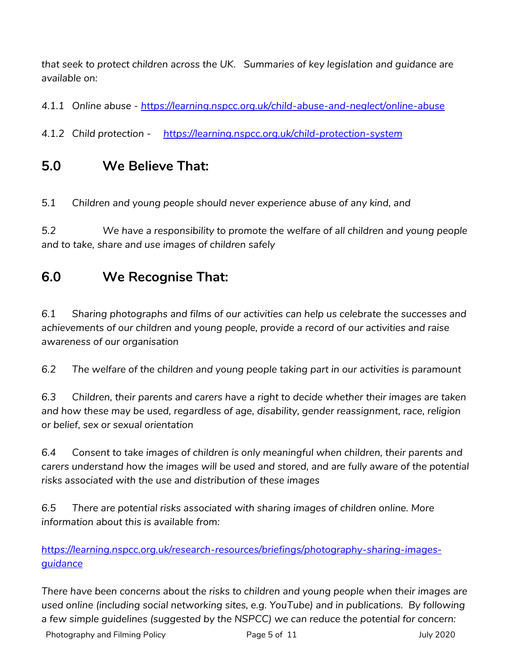*that seek to protect children across the UK. Summaries of key legislation and guidance are available on:*

*4.1.1 Online abuse - <https://learning.nspcc.org.uk/child-abuse-and-neglect/online-abuse>*

*4.1.2 Child protection - <https://learning.nspcc.org.uk/child-protection-system>*

### **5.0 We Believe That:**

*5.1 Children and young people should never experience abuse of any kind, and*

*5.2 We have a responsibility to promote the welfare of all children and young people and to take, share and use images of children safely*

### **6.0 We Recognise That:**

*6.1 Sharing photographs and films of our activities can help us celebrate the successes and achievements of our children and young people, provide a record of our activities and raise awareness of our organisation*

*6.2 The welfare of the children and young people taking part in our activities is paramount*

*6.3 Children, their parents and carers have a right to decide whether their images are taken and how these may be used, regardless of age, disability, gender reassignment, race, religion or belief, sex or sexual orientation*

*6.4 Consent to take images of children is only meaningful when children, their parents and carers understand how the images will be used and stored, and are fully aware of the potential risks associated with the use and distribution of these images*

*6.5 There are potential risks associated with sharing images of children online. More information about this is available from:* 

*[https://learning.nspcc.org.uk/research-resources/briefings/photography-sharing-images](https://learning.nspcc.org.uk/research-resources/briefings/photography-sharing-images-guidance)[guidance](https://learning.nspcc.org.uk/research-resources/briefings/photography-sharing-images-guidance)*

*There have been concerns about the risks to children and young people when their images are used online (including social networking sites, e.g. YouTube) and in publications. By following a few simple guidelines (suggested by the NSPCC) we can reduce the potential for concern:*

Photography and Filming Policy **Page 5 of 11** Page 5 of 11 July 2020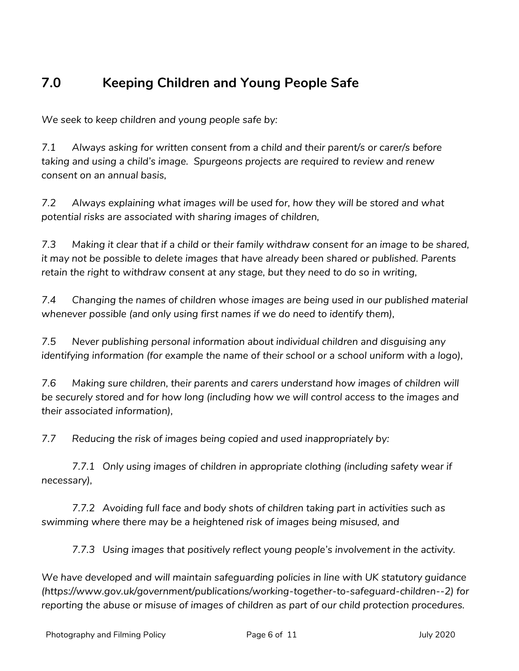# **7.0 Keeping Children and Young People Safe**

*We seek to keep children and young people safe by:*

*7.1 Always asking for written consent from a child and their parent/s or carer/s before taking and using a child's image. Spurgeons projects are required to review and renew consent on an annual basis,*

*7.2 Always explaining what images will be used for, how they will be stored and what potential risks are associated with sharing images of children,*

*7.3 Making it clear that if a child or their family withdraw consent for an image to be shared, it may not be possible to delete images that have already been shared or published. Parents retain the right to withdraw consent at any stage, but they need to do so in writing,*

*7.4 Changing the names of children whose images are being used in our published material whenever possible (and only using first names if we do need to identify them),*

*7.5 Never publishing personal information about individual children and disguising any identifying information (for example the name of their school or a school uniform with a logo),*

*7.6 Making sure children, their parents and carers understand how images of children will be securely stored and for how long (including how we will control access to the images and their associated information),*

*7.7 Reducing the risk of images being copied and used inappropriately by:*

*7.7.1 Only using images of children in appropriate clothing (including safety wear if necessary),*

*7.7.2 Avoiding full face and body shots of children taking part in activities such as swimming where there may be a heightened risk of images being misused, and*

*7.7.3 Using images that positively reflect young people's involvement in the activity.*

*We have developed and will maintain safeguarding policies in line with UK statutory guidance (https://www.gov.uk/government/publications/working-together-to-safeguard-children--2) for reporting the abuse or misuse of images of children as part of our child protection procedures.*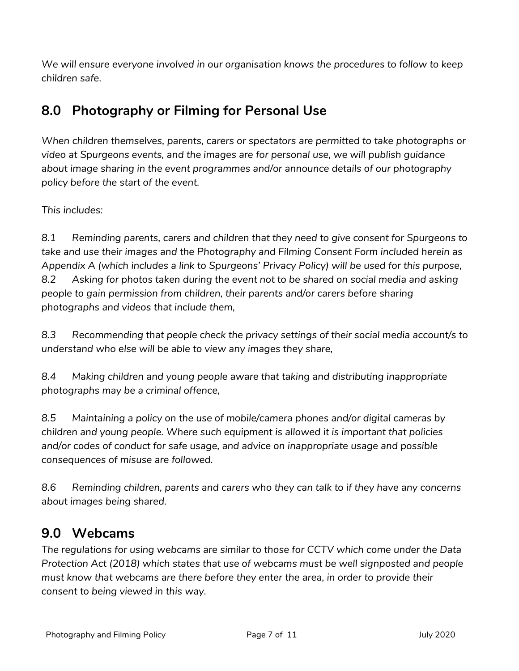*We will ensure everyone involved in our organisation knows the procedures to follow to keep children safe.*

### **8.0 Photography or Filming for Personal Use**

*When children themselves, parents, carers or spectators are permitted to take photographs or video at Spurgeons events, and the images are for personal use, we will publish guidance about image sharing in the event programmes and/or announce details of our photography policy before the start of the event.* 

*This includes:*

*8.1 Reminding parents, carers and children that they need to give consent for Spurgeons to take and use their images and the Photography and Filming Consent Form included herein as Appendix A (which includes a link to Spurgeons' Privacy Policy) will be used for this purpose, 8.2 Asking for photos taken during the event not to be shared on social media and asking people to gain permission from children, their parents and/or carers before sharing photographs and videos that include them,*

*8.3 Recommending that people check the privacy settings of their social media account/s to understand who else will be able to view any images they share,*

*8.4 Making children and young people aware that taking and distributing inappropriate photographs may be a criminal offence,*

*8.5 Maintaining a policy on the use of mobile/camera phones and/or digital cameras by children and young people. Where such equipment is allowed it is important that policies and/or codes of conduct for safe usage, and advice on inappropriate usage and possible consequences of misuse are followed.*

*8.6 Reminding children, parents and carers who they can talk to if they have any concerns about images being shared.*

### **9.0 Webcams**

*The regulations for using webcams are similar to those for CCTV which come under the Data Protection Act (2018) which states that use of webcams must be well signposted and people must know that webcams are there before they enter the area, in order to provide their consent to being viewed in this way.*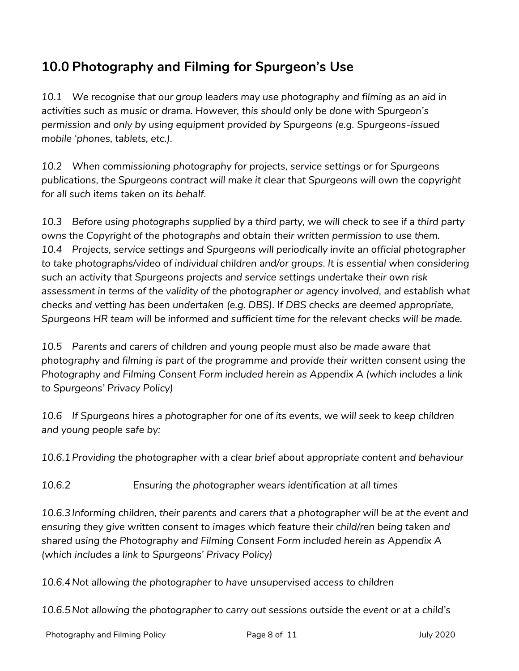# **10.0 Photography and Filming for Spurgeon's Use**

*10.1 We recognise that our group leaders may use photography and filming as an aid in activities such as music or drama. However, this should only be done with Spurgeon's permission and only by using equipment provided by Spurgeons (e.g. Spurgeons-issued mobile 'phones, tablets, etc.).*

*10.2 When commissioning photography for projects, service settings or for Spurgeons publications, the Spurgeons contract will make it clear that Spurgeons will own the copyright for all such items taken on its behalf.*

*10.3 Before using photographs supplied by a third party, we will check to see if a third party owns the Copyright of the photographs and obtain their written permission to use them. 10.4 Projects, service settings and Spurgeons will periodically invite an official photographer to take photographs/video of individual children and/or groups. It is essential when considering such an activity that Spurgeons projects and service settings undertake their own risk*  assessment in terms of the validity of the photographer or agency involved, and establish what *checks and vetting has been undertaken (e.g. DBS). If DBS checks are deemed appropriate, Spurgeons HR team will be informed and sufficient time for the relevant checks will be made.*

*10.5 Parents and carers of children and young people must also be made aware that photography and filming is part of the programme and provide their written consent using the Photography and Filming Consent Form included herein as Appendix A (which includes a link to Spurgeons' Privacy Policy)*

*10.6 If Spurgeons hires a photographer for one of its events, we will seek to keep children and young people safe by:*

*10.6.1Providing the photographer with a clear brief about appropriate content and behaviour*

*10.6.2 Ensuring the photographer wears identification at all times*

*10.6.3Informing children, their parents and carers that a photographer will be at the event and ensuring they give written consent to images which feature their child/ren being taken and shared using the Photography and Filming Consent Form included herein as Appendix A (which includes a link to Spurgeons' Privacy Policy)*

*10.6.4Not allowing the photographer to have unsupervised access to children*

*10.6.5Not allowing the photographer to carry out sessions outside the event or at a child's*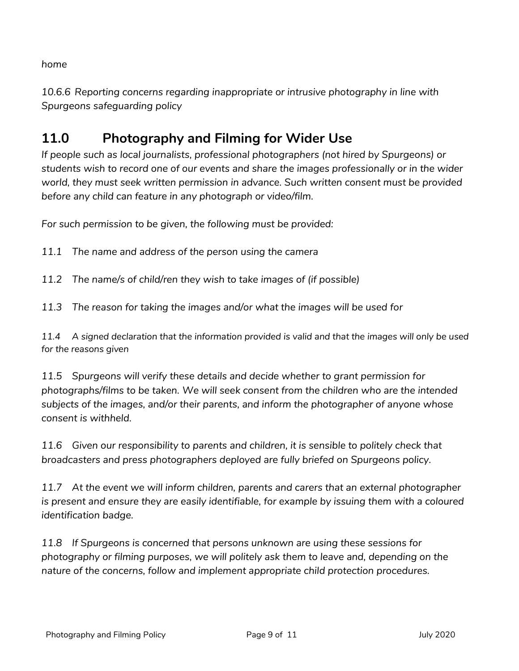*home*

*10.6.6 Reporting concerns regarding inappropriate or intrusive photography in line with Spurgeons safeguarding policy*

# **11.0 Photography and Filming for Wider Use**

*If people such as local journalists, professional photographers (not hired by Spurgeons) or students wish to record one of our events and share the images professionally or in the wider world, they must seek written permission in advance. Such written consent must be provided before any child can feature in any photograph or video/film.*

*For such permission to be given, the following must be provided:*

*11.1 The name and address of the person using the camera*

*11.2 The name/s of child/ren they wish to take images of (if possible)*

*11.3 The reason for taking the images and/or what the images will be used for*

*11.4 A signed declaration that the information provided is valid and that the images will only be used for the reasons given*

*11.5 Spurgeons will verify these details and decide whether to grant permission for photographs/films to be taken. We will seek consent from the children who are the intended subjects of the images, and/or their parents, and inform the photographer of anyone whose consent is withheld.*

*11.6 Given our responsibility to parents and children, it is sensible to politely check that broadcasters and press photographers deployed are fully briefed on Spurgeons policy.*

*11.7 At the event we will inform children, parents and carers that an external photographer*  is present and ensure they are easily identifiable, for example by issuing them with a coloured *identification badge.*

*11.8 If Spurgeons is concerned that persons unknown are using these sessions for photography or filming purposes, we will politely ask them to leave and, depending on the nature of the concerns, follow and implement appropriate child protection procedures.*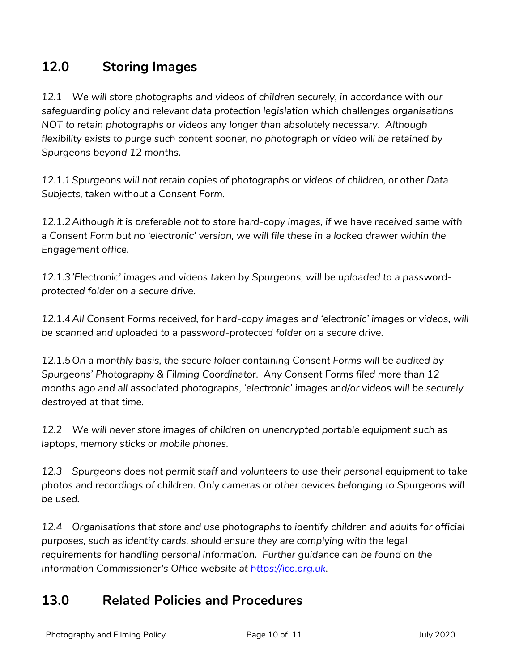# **12.0 Storing Images**

*12.1 We will store photographs and videos of children securely, in accordance with our safeguarding policy and relevant data protection legislation which challenges organisations NOT to retain photographs or videos any longer than absolutely necessary. Although flexibility exists to purge such content sooner, no photograph or video will be retained by Spurgeons beyond 12 months.*

*12.1.1Spurgeons will not retain copies of photographs or videos of children, or other Data Subjects, taken without a Consent Form.*

*12.1.2Although it is preferable not to store hard-copy images, if we have received same with a Consent Form but no 'electronic' version, we will file these in a locked drawer within the Engagement office.*

*12.1.3'Electronic' images and videos taken by Spurgeons, will be uploaded to a passwordprotected folder on a secure drive.*

*12.1.4All Consent Forms received, for hard-copy images and 'electronic' images or videos, will be scanned and uploaded to a password-protected folder on a secure drive.* 

*12.1.5On a monthly basis, the secure folder containing Consent Forms will be audited by Spurgeons' Photography & Filming Coordinator. Any Consent Forms filed more than 12 months ago and all associated photographs, 'electronic' images and/or videos will be securely destroyed at that time.*

*12.2 We will never store images of children on unencrypted portable equipment such as laptops, memory sticks or mobile phones.*

*12.3 Spurgeons does not permit staff and volunteers to use their personal equipment to take photos and recordings of children. Only cameras or other devices belonging to Spurgeons will be used.*

*12.4 Organisations that store and use photographs to identify children and adults for official purposes, such as identity cards, should ensure they are complying with the legal requirements for handling personal information. Further guidance can be found on the Information Commissioner's Office website at [https://ico.org.uk.](https://ico.org.uk/)* 

### **13.0 Related Policies and Procedures**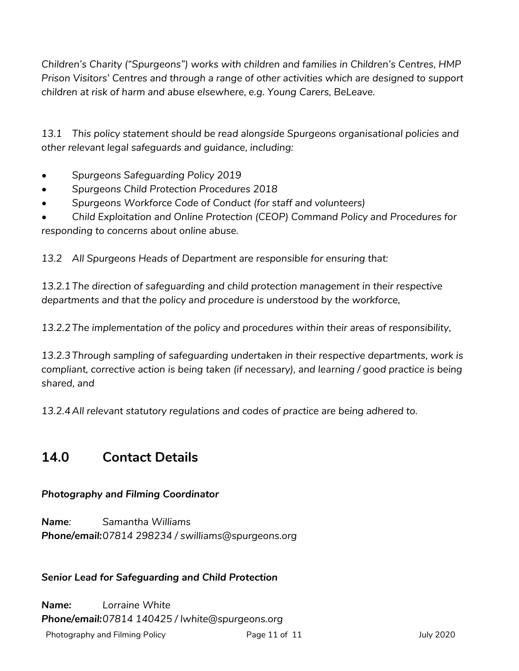*Children's Charity ("Spurgeons") works with children and families in Children's Centres, HMP Prison Visitors' Centres and through a range of other activities which are designed to support children at risk of harm and abuse elsewhere, e.g. Young Carers, BeLeave.*

*13.1 This policy statement should be read alongside Spurgeons organisational policies and other relevant legal safeguards and guidance, including:*

- *• Spurgeons Safeguarding Policy 2019*
- *• Spurgeons Child Protection Procedures 2018*
- *• Spurgeons Workforce Code of Conduct (for staff and volunteers)*

*• Child Exploitation and Online Protection (CEOP) Command Policy and Procedures for responding to concerns about online abuse.* 

*13.2 All Spurgeons Heads of Department are responsible for ensuring that:*

*13.2.1The direction of safeguarding and child protection management in their respective departments and that the policy and procedure is understood by the workforce,*

*13.2.2The implementation of the policy and procedures within their areas of responsibility,*

*13.2.3Through sampling of safeguarding undertaken in their respective departments, work is compliant, corrective action is being taken (if necessary), and learning / good practice is being shared, and* 

*13.2.4All relevant statutory regulations and codes of practice are being adhered to.*

### **14.0 Contact Details**

#### *Photography and Filming Coordinator*

*Name: Samantha Williams Phone/email:07814 298234 / swilliams@spurgeons.org*

#### *Senior Lead for Safeguarding and Child Protection*

Photography and Filming Policy **Page 11 of 11** Page 11 of 11 July 2020 *Name: Lorraine White Phone/email:07814 140425 / lwhite@spurgeons.org*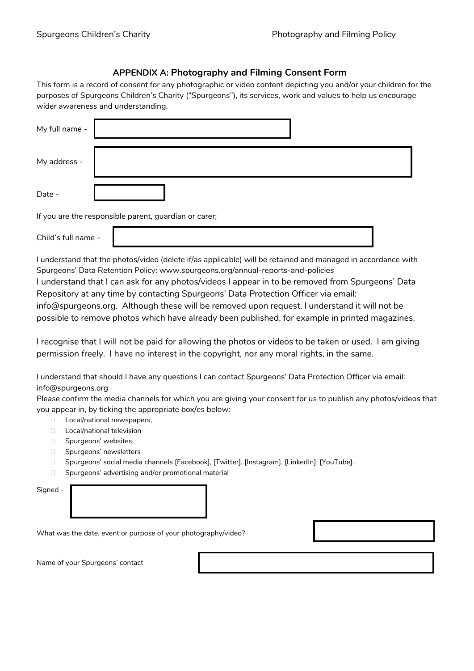#### **APPENDIX A: Photography and Filming Consent Form**

This form is a record of consent for any photographic or video content depicting you and/or your children for the purposes of Spurgeons Children's Charity ("Spurgeons"), its services, work and values to help us encourage wider awareness and understanding.

| My full name - |                                                       |
|----------------|-------------------------------------------------------|
| My address -   |                                                       |
| Date -         |                                                       |
|                | If you are the responsible parent, guardian or carer; |

Child's full name -

I understand that the photos/video (delete if/as applicable) will be retained and managed in accordance with Spurgeons' Data Retention Policy: www.spurgeons.org/annual-reports-and-policies

I understand that I can ask for any photos/videos I appear in to be removed from Spurgeons' Data Repository at any time by contacting Spurgeons' Data Protection Officer via email:

info@spurgeons.org. Although these will be removed upon request, I understand it will not be possible to remove photos which have already been published, for example in printed magazines.

I recognise that I will not be paid for allowing the photos or videos to be taken or used. I am giving permission freely. I have no interest in the copyright, nor any moral rights, in the same.

I understand that should I have any questions I can contact Spurgeons' Data Protection Officer via email: info@spurgeons.org

Please confirm the media channels for which you are giving your consent for us to publish any photos/videos that you appear in, by ticking the appropriate box/es below:

- □ Local/national newspapers,
- D Local/national television
- □ Spurgeons' websites
- □ Spurgeons' newsletters
- □ Spurgeons' social media channels [Facebook], [Twitter], [Instagram], [LinkedIn], [YouTube].
- □ Spurgeons' advertising and/or promotional material

| ıan<br>۱F |
|-----------|
|-----------|

What was the date, event or purpose of your photography/video?

Name of your Spurgeons' contact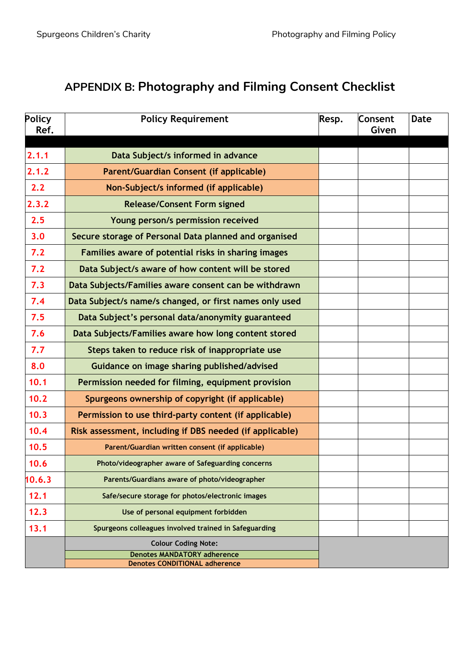# **APPENDIX B: Photography and Filming Consent Checklist**

| Policy | <b>Policy Requirement</b>                                                  | Resp. | Consent | <b>Date</b> |
|--------|----------------------------------------------------------------------------|-------|---------|-------------|
| Ref.   |                                                                            |       | Given   |             |
| 2.1.1  | Data Subject/s informed in advance                                         |       |         |             |
| 2.1.2  | Parent/Guardian Consent (if applicable)                                    |       |         |             |
| 2.2    | Non-Subject/s informed (if applicable)                                     |       |         |             |
| 2.3.2  | <b>Release/Consent Form signed</b>                                         |       |         |             |
| 2.5    | Young person/s permission received                                         |       |         |             |
| 3.0    | Secure storage of Personal Data planned and organised                      |       |         |             |
| 7.2    | Families aware of potential risks in sharing images                        |       |         |             |
| 7.2    | Data Subject/s aware of how content will be stored                         |       |         |             |
| 7.3    | Data Subjects/Families aware consent can be withdrawn                      |       |         |             |
| 7.4    | Data Subject/s name/s changed, or first names only used                    |       |         |             |
| 7.5    | Data Subject's personal data/anonymity guaranteed                          |       |         |             |
| 7.6    | Data Subjects/Families aware how long content stored                       |       |         |             |
| 7.7    | Steps taken to reduce risk of inappropriate use                            |       |         |             |
| 8.0    | Guidance on image sharing published/advised                                |       |         |             |
| 10.1   | Permission needed for filming, equipment provision                         |       |         |             |
| 10.2   | Spurgeons ownership of copyright (if applicable)                           |       |         |             |
| 10.3   | Permission to use third-party content (if applicable)                      |       |         |             |
| 10.4   | Risk assessment, including if DBS needed (if applicable)                   |       |         |             |
| 10.5   | Parent/Guardian written consent (if applicable)                            |       |         |             |
| 10.6   | Photo/videographer aware of Safeguarding concerns                          |       |         |             |
| 10.6.3 | Parents/Guardians aware of photo/videographer                              |       |         |             |
| 12.1   | Safe/secure storage for photos/electronic images                           |       |         |             |
| 12.3   | Use of personal equipment forbidden                                        |       |         |             |
| 13.1   | Spurgeons colleagues involved trained in Safeguarding                      |       |         |             |
|        | <b>Colour Coding Note:</b>                                                 |       |         |             |
|        | <b>Denotes MANDATORY adherence</b><br><b>Denotes CONDITIONAL adherence</b> |       |         |             |